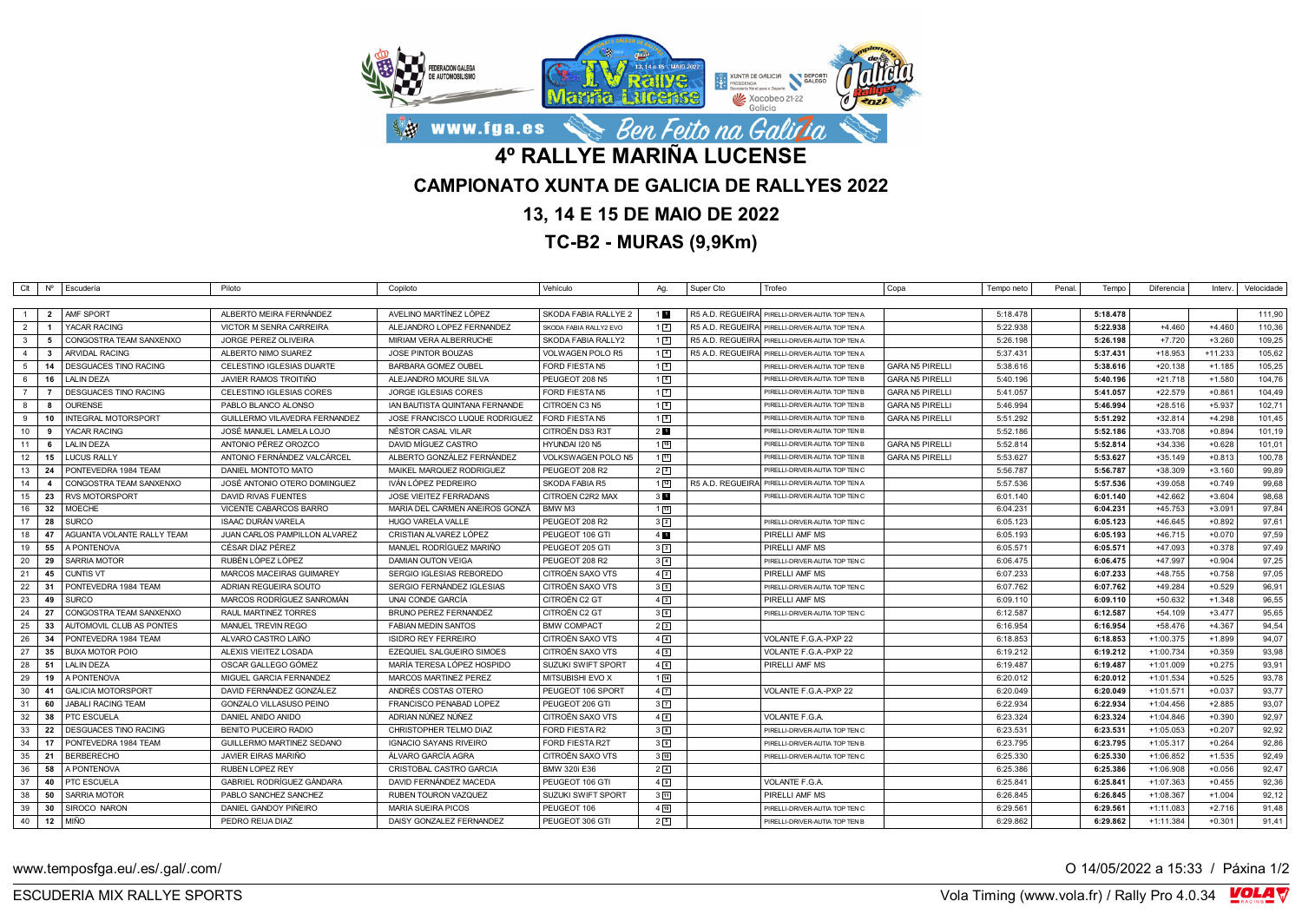

## **13, 14 E 15 DE MAIO DE 2022**

**TC-B2 - MURAS (9,9Km)**

|                |                         | CIt Nº Escudería             | Piloto                         | Copiloto                       | Vehículo                    | Aq.               | Super Cto | Trofeo                                           | Copa                   | Tempo neto | Penal. | Tempo    | Diferencia  | Interv.   | Velocidade |
|----------------|-------------------------|------------------------------|--------------------------------|--------------------------------|-----------------------------|-------------------|-----------|--------------------------------------------------|------------------------|------------|--------|----------|-------------|-----------|------------|
|                |                         |                              |                                |                                |                             |                   |           |                                                  |                        |            |        |          |             |           |            |
|                | $\overline{2}$          | <b>AMF SPORT</b>             | ALBERTO MEIRA FERNÁNDEZ        | AVELINO MARTÍNEZ LÓPEZ         | <b>SKODA FABIA RALLYE 2</b> | 1 <sub>II</sub>   |           | R5 A.D. REGUEIRA PIRELLI-DRIVER-AUTIA TOP TEN A  |                        | 5:18.478   |        | 5:18.478 |             |           | 111,90     |
| $\overline{2}$ | $\overline{1}$          | YACAR RACING                 | VICTOR M SENRA CARREIRA        | ALEJANDRO LOPEZ FERNANDEZ      | SKODA FABIA RALLY2 EVO      | $1\sqrt{2}$       |           | R5 A.D. REGUEIRA PIRELLI-DRIVER-AUTIA TOP TEN A  |                        | 5:22.938   |        | 5:22.938 | $+4.460$    | $+4.460$  | 110,36     |
| $\mathbf{3}$   | - 5                     | CONGOSTRA TEAM SANXENXO      | <b>JORGE PEREZ OLIVEIRA</b>    | MIRIAM VERA ALBERRUCHE         | <b>SKODA FABIA RALLY2</b>   | $1\sqrt{3}$       |           | R5 A.D. REGUEIRA PIRELLI-DRIVER-AUTIA TOP TEN A  |                        | 5:26.198   |        | 5:26.198 | $+7.720$    | $+3.260$  | 109,25     |
| $\overline{4}$ | $\mathbf{3}$            | <b>ARVIDAL RACING</b>        | ALBERTO NIMO SUAREZ            | <b>JOSE PINTOR BOUZAS</b>      | VOLWAGEN POLO R5            | $1\sqrt{4}$       |           | R5 A.D. REGUEIRAI PIRELLI-DRIVER-AUTIA TOP TEN A |                        | 5:37.431   |        | 5:37.431 | +18.953     | $+11.233$ | 105,62     |
| 5              | 14                      | <b>DESGUACES TINO RACING</b> | CELESTINO IGLESIAS DUARTE      | <b>BARBARA GOMEZ OUBEL</b>     | <b>FORD FIESTA N5</b>       | 15                |           | PIRELLI-DRIVER-AUTIA TOP TEN B                   | <b>GARA N5 PIRELLI</b> | 5:38.616   |        | 5:38.616 | $+20.138$   | $+1.185$  | 105,25     |
| 6              | 16                      | <b>LALIN DEZA</b>            | JAVIER RAMOS TROITIÑO          | ALEJANDRO MOURE SILVA          | PEUGEOT 208 N5              | 16                |           | PIRELLI-DRIVER-AUTIA TOP TEN B                   | <b>GARA N5 PIRELLI</b> | 5:40.196   |        | 5:40.196 | $+21.718$   | $+1.580$  | 104,76     |
| $\overline{7}$ | $\overline{7}$          | DESGUACES TINO RACING        | CELESTINO IGLESIAS CORES       | JORGE IGLESIAS CORES           | FORD FIESTA N5              | $1\overline{2}$   |           | PIRELLI-DRIVER-AUTIA TOP TEN B                   | <b>GARA N5 PIRELLI</b> | 5:41.057   |        | 5:41.057 | $+22.579$   | $+0.861$  | 104,49     |
| 8              | - 8                     | <b>OURENSE</b>               | PABLO BLANCO ALONSO            | IAN BAUTISTA QUINTANA FERNANDE | CITROEN C3 N5               | 1 <sup>8</sup>    |           | PIRELLI-DRIVER-AUTIA TOP TEN B                   | <b>GARA N5 PIRELLI</b> | 5:46.994   |        | 5:46.994 | $+28.516$   | $+5.937$  | 102,71     |
| 9              | 10                      | INTEGRAL MOTORSPORT          | GUILLERMO VILAVEDRA FERNANDEZ  | JOSE FRANCISCO LUQUE RODRIGUEZ | <b>FORD FIESTA N5</b>       | $1\sqrt{9}$       |           | PIRELLI-DRIVER-AUTIA TOP TEN B                   | <b>GARA N5 PIRELLI</b> | 5:51.292   |        | 5:51.292 | $+32.814$   | $+4.298$  | 101,45     |
| 10             | 9                       | YACAR RACING                 | JOSÉ MANUEL LAMELA LOJO        | NÉSTOR CASAL VILAR             | CITROËN DS3 R3T             | 2 E               |           | PIRELLI-DRIVER-AUTIA TOP TEN B                   |                        | 5:52.186   |        | 5:52.186 | $+33.708$   | $+0.894$  | 101,19     |
| 11             | - 6                     | <b>LALIN DEZA</b>            | ANTONIO PÉREZ OROZCO           | DAVID MÍGUEZ CASTRO            | HYUNDAI I20 N5              | $1\sqrt{10}$      |           | PIRELLI-DRIVER-AUTIA TOP TEN B                   | <b>GARA N5 PIRELLI</b> | 5:52.814   |        | 5:52.814 | $+34.336$   | $+0.628$  | 101,01     |
| 12             | 15                      | <b>LUCUS RALLY</b>           | ANTONIO FERNÁNDEZ VALCÁRCEL    | ALBERTO GONZÁLEZ FERNÁNDEZ     | VOLKSWAGEN POLO N5          | 111               |           | PIRELLI-DRIVER-AUTIA TOP TEN B                   | <b>GARA N5 PIRELLI</b> | 5:53.627   |        | 5:53.627 | $+35.149$   | $+0.813$  | 100,78     |
| 13             | 24                      | PONTEVEDRA 1984 TEAM         | DANIEL MONTOTO MATO            | MAIKEL MARQUEZ RODRIGUEZ       | PEUGEOT 208 R2              | $2\sqrt{2}$       |           | PIRELLI-DRIVER-AUTIA TOP TEN C                   |                        | 5:56.787   |        | 5:56.787 | +38.309     | $+3.160$  | 99,89      |
| 14             | $\overline{\mathbf{4}}$ | CONGOSTRA TEAM SANXENXO      | JOSÉ ANTONIO OTERO DOMINGUEZ   | IVÁN LÓPEZ PEDREIRO            | SKODA FABIA R5              | $1^{12}$          |           | R5 A.D. REGUEIRA PIRELLI-DRIVER-AUTIA TOP TEN A  |                        | 5:57.536   |        | 5:57.536 | $+39.058$   | $+0.749$  | 99,68      |
| 15             | 23                      | <b>RVS MOTORSPORT</b>        | <b>DAVID RIVAS FUENTES</b>     | JOSE VIEITEZ FERRADANS         | CITROEN C2R2 MAX            | 3 <sub>1</sub>    |           | PIRELLI-DRIVER-AUTIA TOP TEN C                   |                        | 6:01.140   |        | 6:01.140 | +42.662     | $+3.604$  | 98,68      |
| 16             | 32                      | <b>MOECHE</b>                | VICENTE CABARCOS BARRO         | MARIA DEL CARMEN ANEIROS GONZA | BMW M3                      | $1 \overline{13}$ |           |                                                  |                        | 6:04.231   |        | 6:04.231 | $+45.753$   | $+3.091$  | 97,84      |
| 17             | - 28                    | <b>SURCO</b>                 | <b>ISAAC DURÁN VARELA</b>      | HUGO VARELA VALLE              | PEUGEOT 208 R2              | $3\sqrt{2}$       |           | PIRELLI-DRIVER-AUTIA TOP TEN C                   |                        | 6:05.123   |        | 6:05.123 | $+46.645$   | $+0.892$  | 97,61      |
| 18             | 47                      | AGUANTA VOLANTE RALLY TEAM   | JUAN CARLOS PAMPILLON ALVAREZ  | CRISTIAN ALVAREZ LÓPEZ         | PEUGEOT 106 GTI             | $4 \blacksquare$  |           | PIRELLI AMF MS                                   |                        | 6:05.193   |        | 6:05.193 | $+46.715$   | $+0.070$  | 97,59      |
| 19             | 55                      | A PONTENOVA                  | CÉSAR DÍAZ PÉREZ               | MANUEL RODRÍGUEZ MARIÑO        | PEUGEOT 205 GTI             | 3 <sup>3</sup>    |           | PIRELLI AMF MS                                   |                        | 6:05.571   |        | 6:05.571 | +47.093     | $+0.378$  | 97,49      |
| 20             | 29                      | <b>SARRIA MOTOR</b>          | RUBÉN LÓPEZ LÓPEZ              | <b>DAMIAN OUTON VEIGA</b>      | PEUGEOT 208 R2              | $3\sqrt{4}$       |           | PIRELLI-DRIVER-AUTIA TOP TEN C                   |                        | 6:06.475   |        | 6:06.475 | $+47.997$   | $+0.904$  | 97,25      |
| 21             | 45                      | <b>CUNTIS VT</b>             | MARCOS MACEIRAS GUIMAREY       | SERGIO IGLESIAS REBOREDO       | CITROËN SAXO VTS            | $4\sqrt{2}$       |           | PIRELLI AMF MS                                   |                        | 6:07.233   |        | 6:07.233 | +48.755     | $+0.758$  | 97,05      |
| 22             | - 31                    | PONTEVEDRA 1984 TEAM         | ADRIAN REGUEIRA SOUTO          | SERGIO FERNÁNDEZ IGLESIAS      | CITROËN SAXO VTS            | 35                |           | PIRELLI-DRIVER-AUTIA TOP TEN C                   |                        | 6:07.762   |        | 6:07.762 | +49.284     | $+0.529$  | 96,91      |
| 23             | 49                      | <b>SURCO</b>                 | MARCOS RODRÍGUEZ SANROMÁN      | UNAI CONDE GARCÍA              | CITROËN C2 GT               | 4 <sup>3</sup>    |           | PIRELLI AMF MS                                   |                        | 6:09.110   |        | 6:09.110 | $+50.632$   | $+1.348$  | 96,55      |
| 24             | 27                      | CONGOSTRA TEAM SANXENXO      | <b>RAUL MARTINEZ TORRES</b>    | BRUNO PEREZ FERNANDEZ          | <b>CITROËN C2 GT</b>        | 36                |           | PIRELLI-DRIVER-AUTIA TOP TEN C                   |                        | 6:12.587   |        | 6:12.587 | $+54.109$   | $+3.477$  | 95.65      |
| 25             | - 33                    | AUTOMOVIL CLUB AS PONTES     | MANUEL TREVIN REGO             | <b>FABIAN MEDIN SANTOS</b>     | <b>BMW COMPACT</b>          | 2 <sup>3</sup>    |           |                                                  |                        | 6:16.954   |        | 6:16.954 | $+58.476$   | $+4.367$  | 94,54      |
| 26             | 34                      | PONTEVEDRA 1984 TEAM         | ALVARO CASTRO LAIÑO            | <b>ISIDRO REY FERREIRO</b>     | CITROËN SAXO VTS            | $4\sqrt{4}$       |           | VOLANTE F.G.A.-PXP 22                            |                        | 6:18.853   |        | 6:18.853 | $+1:00.375$ | $+1.899$  | 94,07      |
| 27             | 35                      | <b>BUXA MOTOR POIO</b>       | ALEXIS VIEITEZ LOSADA          | EZEQUIEL SALGUEIRO SIMOES      | CITROËN SAXO VTS            | $4\sqrt{5}$       |           | VOLANTE F.G.A.-PXP 22                            |                        | 6:19.212   |        | 6:19.212 | $+1:00.734$ | $+0.359$  | 93,98      |
| 28             | 51                      | <b>LALIN DEZA</b>            | OSCAR GALLEGO GÓMEZ            | MARÍA TERESA LÓPEZ HOSPIDO     | <b>SUZUKI SWIFT SPORT</b>   | 46                |           | PIRELLI AMF MS                                   |                        | 6:19.487   |        | 6:19.487 | $+1:01.009$ | $+0.275$  | 93,91      |
| 29             | 19                      | A PONTENOVA                  | MIGUEL GARCIA FERNANDEZ        | MARCOS MARTINEZ PEREZ          | MITSUBISHI EVO X            | 114               |           |                                                  |                        | 6:20.012   |        | 6:20.012 | $+1:01.534$ | $+0.525$  | 93,78      |
| 30             | 41                      | <b>GALICIA MOTORSPORT</b>    | DAVID FERNÁNDEZ GONZÁLEZ       | ANDRÉS COSTAS OTERO            | PEUGEOT 106 SPORT           | $4\sqrt{7}$       |           | VOLANTE F.G.A.-PXP 22                            |                        | 6:20.049   |        | 6:20.049 | $+1:01.571$ | $+0.037$  | 93,77      |
| 31             | 60                      | <b>JABALI RACING TEAM</b>    | <b>GONZALO VILLASUSO PEINO</b> | FRANCISCO PENABAD LOPEZ        | PEUGEOT 206 GTI             | $3\sqrt{7}$       |           |                                                  |                        | 6:22.934   |        | 6:22.934 | $+1:04.456$ | $+2.885$  | 93,07      |
| 32             | 38                      | PTC ESCUELA                  | DANIEL ANIDO ANIDO             | ADRIAN NÚÑEZ NÚÑEZ             | CITROËN SAXO VTS            | $4\sqrt{8}$       |           | VOLANTE F.G.A.                                   |                        | 6:23.324   |        | 6:23.324 | $+1:04.846$ | $+0.390$  | 92,97      |
| 33             | 22                      | <b>DESGUACES TINO RACING</b> | <b>BENITO PUCEIRO RADIO</b>    | CHRISTOPHER TELMO DIAZ         | FORD FIESTA R2              | 3 <sup>8</sup>    |           | PIRELLI-DRIVER-AUTIA TOP TEN C                   |                        | 6:23.531   |        | 6:23.531 | $+1:05.053$ | $+0.207$  | 92,92      |
| 34             | 17                      | PONTEVEDRA 1984 TEAM         | GUILLERMO MARTINEZ SEDANO      | <b>IGNACIO SAYANS RIVEIRO</b>  | <b>FORD FIESTA R2T</b>      | 3 <sup>9</sup>    |           | PIRELLI-DRIVER-AUTIA TOP TEN B                   |                        | 6:23.795   |        | 6:23.795 | $+1:05.31$  | $+0.264$  | 92,86      |
| 35             | 21                      | <b>BERBERECHO</b>            | <b>JAVIER EIRAS MARIÑO</b>     | ÁLVARO GARCÍA AGRA             | <b>CITROËN SAXO VTS</b>     | $3\sqrt{10}$      |           | PIRELLI-DRIVER-AUTIA TOP TEN C                   |                        | 6:25.330   |        | 6:25.330 | $+1:06.852$ | $+1.535$  | 92,49      |
| 36             | 58                      | A PONTENOVA                  | <b>RUBEN LOPEZ REY</b>         | CRISTOBAL CASTRO GARCIA        | BMW 320i E36                | $2\sqrt{4}$       |           |                                                  |                        | 6:25.386   |        | 6:25.386 | $+1:06.908$ | $+0.056$  | 92,47      |
| 37             | 40                      | PTC ESCUELA                  | GABRIEL RODRÍGUEZ GÀNDARA      | DAVID FERNANDEZ MACEDA         | PEUGEOT 106 GTI             | 49                |           | VOLANTE F.G.A.                                   |                        | 6:25.841   |        | 6:25.841 | +1:07.363   | $+0.455$  | 92,36      |
| 38             | 50                      | SARRIA MOTOR                 | PABLO SANCHEZ SANCHEZ          | RUBEN TOURON VAZQUEZ           | SUZUKI SWIFT SPORT          | 311               |           | PIRELLI AME MS                                   |                        | 6:26.845   |        | 6:26.845 | $+1:08.367$ | $+1.004$  | 92,12      |
| 39             | 30                      | SIROCO NARON                 | DANIEL GANDOY PIÑEIRO          | MARIA SUEIRA PICOS             | PEUGEOT 106                 | $4\sqrt{10}$      |           | PIRELLI-DRIVER-AUTIA TOP TEN C                   |                        | 6:29.561   |        | 6:29.561 | $+1:11.083$ | $+2.716$  | 91,48      |
| $40$ 12        |                         | l miño                       | PEDRO REIJA DIAZ               | DAISY GONZALEZ FERNANDEZ       | PEUGEOT 306 GTI             | 25                |           | PIRELLI-DRIVER-AUTIA TOP TEN B                   |                        | 6:29.862   |        | 6:29.862 | $+1:11.384$ | $+0.301$  | 91,41      |

www.temposfga.eu/.es/.gal/.com/ **O 14/05/2022** a 15:33 / Páxina 1/2